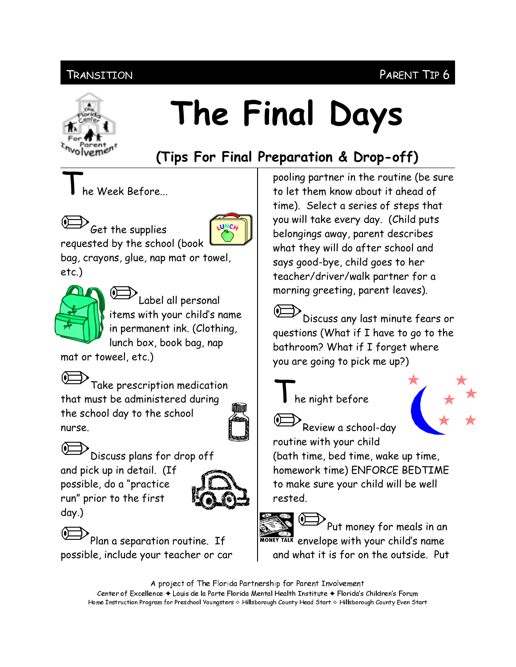## PARENT TIP 6

### Transition



# The Final Days

## (Tips For Final Preparation & Drop-off)

he Week Before...



.<br>Get the supplies requested by the school (book

bag, crayons, glue, nap mat or towel,  $etc.$ )



Label all personal items with your child's name in permanent ink. (Clothing, lunch box, book bag, nap

mat or toweel, etc.)



Take prescription medication that must be administered during the school day to the school nurse.





possible, do a "practice run" prior to the first  $day.$ )



Plan a separation routine. If possible, include your teacher or car

pooling partner in the routine (be sure to let them know about it ahead of time). Select a series of steps that you will take every day. (Child puts belongings away, parent describes what they will do after school and says good-bye, child goes to her teacher/driver/walk partner for a morning greeting, parent leaves).

.<br>Discuss any last minute fears or questions (What if I have to go to the bathroom? What if I forget where you are going to pick me up?)



he night before





.<br>Review a school-day

routine with your child (bath time, bed time, wake up time, homework time) ENFORCE BEDTIME to make sure your child will be well rested.



 $\sum$ Put money for meals in an MONEY TALK envelope with your child's name and what it is for on the outside. Put

A project of The Florida Partnership for Parent Involvement Center of Excellence ♦ Louis de la Parte Florida Mental Health Institute ♦ Florida's Children's Forum Home Instruction Program for Preschool Youngsters & Hillsborough County Head Start & Hillsborough County Even Start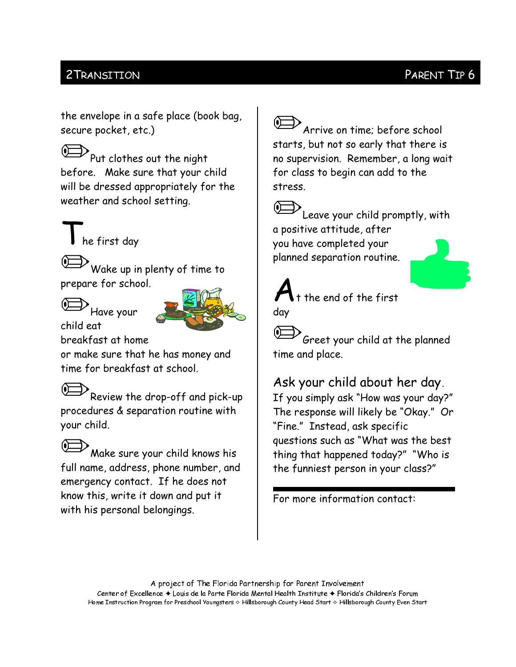## 2 TRANSITION

#### PARENT TIP 6

the envelope in a safe place (book bag, secure pocket, etc.)

 $\mathcal{P}_{\mathsf{Put}}$  clothes out the night before. Make sure that your child will be dressed appropriately for the weather and school setting.

he first day

 $\mathcal V$ Wake up in plenty of time to prepare for school.

Have vour



child eat breakfast at home

or make sure that he has money and time for breakfast at school.

Review the drop-off and pick-up procedures & separation routine with your child.

.<br>Make sure your child knows his full name, address, phone number, and emergency contact. If he does not know this, write it down and put it with his personal belongings.

 $\mathcal P$  Arrive on time; before school starts, but not so early that there is no supervision. Remember, a long wait for class to begin can add to the stress.

.<br>Leave your child promptly, with a positive attitude, after you have completed your planned separation routine.



Greet your child at the planned time and place.

Ask your child about her day. If you simply ask "How was your day?" The response will likely be "Okay." Or "Fine." Instead, ask specific

questions such as "What was the best thing that happened today?" "Who is the funniest person in your class?"

For more information contact:

A project of The Florida Partnership for Parent Involvement Center of Excellence ◆ Louis de la Parte Florida Mental Health Institute ◆ Florida's Children's Forum Home Instruction Program for Preschool Youngsters & Hillsborough County Head Start & Hillsborough County Even Start